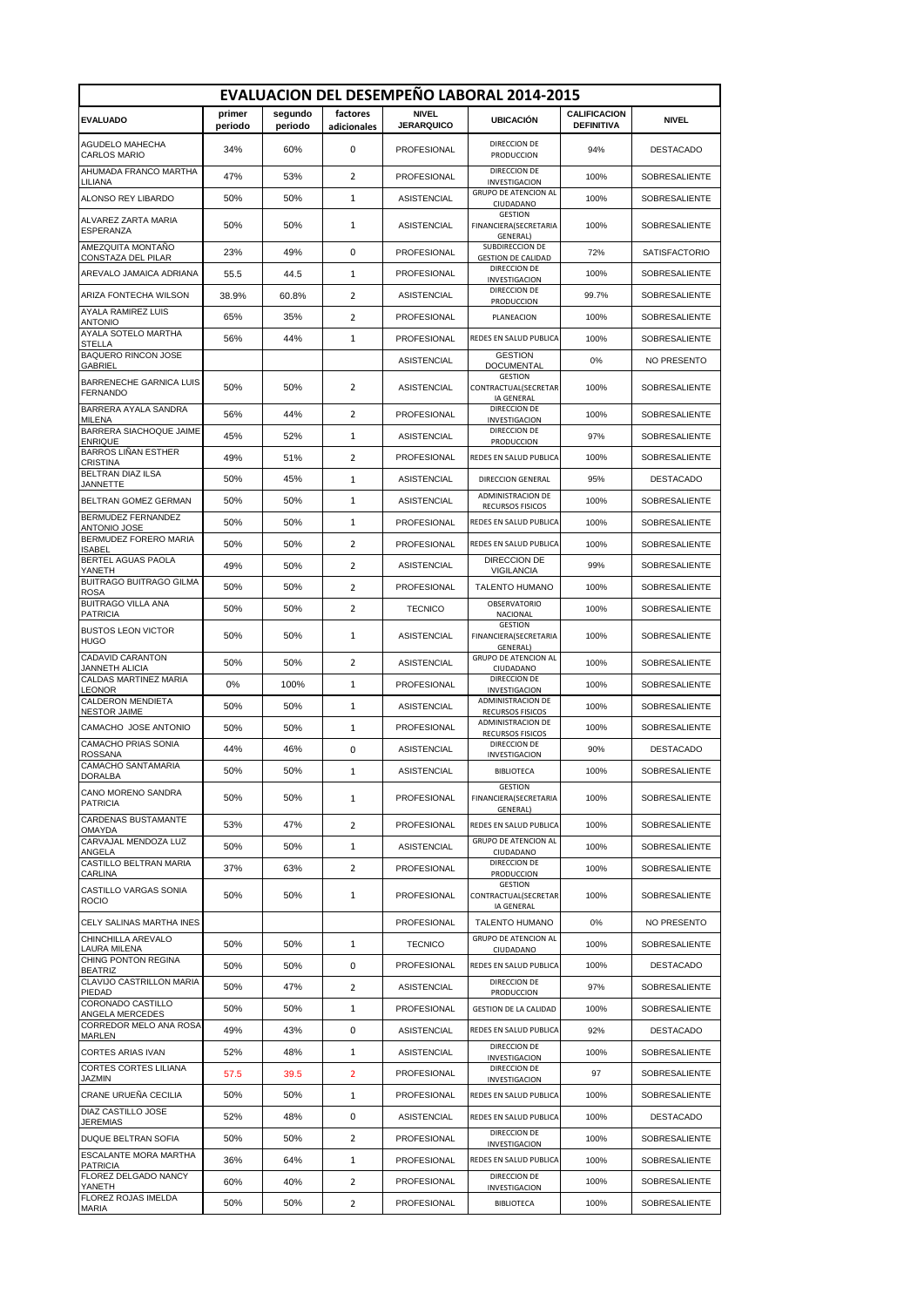| <b>EVALUACION DEL DESEMPEÑO LABORAL 2014-2015</b> |                   |                    |                         |                                   |                                                             |                                          |                      |  |
|---------------------------------------------------|-------------------|--------------------|-------------------------|-----------------------------------|-------------------------------------------------------------|------------------------------------------|----------------------|--|
| <b>EVALUADO</b>                                   | primer<br>periodo | segundo<br>periodo | factores<br>adicionales | <b>NIVEL</b><br><b>JERARQUICO</b> | <b>UBICACIÓN</b>                                            | <b>CALIFICACION</b><br><b>DEFINITIVA</b> | <b>NIVEL</b>         |  |
| AGUDELO MAHECHA<br><b>CARLOS MARIO</b>            | 34%               | 60%                | 0                       | PROFESIONAL                       | DIRECCION DE<br>PRODUCCION                                  | 94%                                      | <b>DESTACADO</b>     |  |
| AHUMADA FRANCO MARTHA<br>LILIANA                  | 47%               | 53%                | $\overline{2}$          | PROFESIONAL                       | DIRECCION DE<br><b>INVESTIGACION</b>                        | 100%                                     | SOBRESALIENTE        |  |
| ALONSO REY LIBARDO                                | 50%               | 50%                | 1                       | ASISTENCIAL                       | <b>GRUPO DE ATENCION AL</b><br>CIUDADANO                    | 100%                                     | SOBRESALIENTE        |  |
| ALVAREZ ZARTA MARIA<br><b>ESPERANZA</b>           | 50%               | 50%                | 1                       | ASISTENCIAL                       | <b>GESTION</b><br>FINANCIERA(SECRETARIA<br>GENERAL)         | 100%                                     | SOBRESALIENTE        |  |
| AMEZQUITA MONTAÑO<br>CONSTAZA DEL PILAR           | 23%               | 49%                | 0                       | PROFESIONAL                       | SUBDIRECCION DE<br><b>GESTION DE CALIDAD</b>                | 72%                                      | <b>SATISFACTORIO</b> |  |
| AREVALO JAMAICA ADRIANA                           | 55.5              | 44.5               | $\mathbf{1}$            | <b>PROFESIONAL</b>                | DIRECCION DE<br>INVESTIGACION                               | 100%                                     | SOBRESALIENTE        |  |
| ARIZA FONTECHA WILSON                             | 38.9%             | 60.8%              | $\overline{2}$          | <b>ASISTENCIAL</b>                | DIRECCION DE<br>PRODUCCION                                  | 99.7%                                    | SOBRESALIENTE        |  |
| <b>AYALA RAMIREZ LUIS</b><br><b>ANTONIO</b>       | 65%               | 35%                | $\overline{2}$          | PROFESIONAL                       | PLANEACION                                                  | 100%                                     | SOBRESALIENTE        |  |
| AYALA SOTELO MARTHA<br><b>STELLA</b>              | 56%               | 44%                | $\mathbf{1}$            | <b>PROFESIONAL</b>                | REDES EN SALUD PUBLICA                                      | 100%                                     | SOBRESALIENTE        |  |
| <b>BAQUERO RINCON JOSE</b><br><b>GABRIEL</b>      |                   |                    |                         | <b>ASISTENCIAL</b>                | <b>GESTION</b><br>DOCUMENTAL                                | 0%                                       | NO PRESENTO          |  |
| <b>BARRENECHE GARNICA LUIS</b><br><b>FERNANDO</b> | 50%               | 50%                | $\overline{2}$          | <b>ASISTENCIAL</b>                | <b>GESTION</b><br>CONTRACTUAL(SECRETAR<br><b>IA GENERAL</b> | 100%                                     | SOBRESALIENTE        |  |
| BARRERA AYALA SANDRA<br><b>MILENA</b>             | 56%               | 44%                | 2                       | PROFESIONAL                       | DIRECCION DE<br>INVESTIGACION                               | 100%                                     | SOBRESALIENTE        |  |
| BARRERA SIACHOQUE JAIME<br><b>ENRIQUE</b>         | 45%               | 52%                | $\mathbf{1}$            | <b>ASISTENCIAL</b>                | DIRECCION DE<br>PRODUCCION                                  | 97%                                      | <b>SOBRESALIENTE</b> |  |
| <b>BARROS LIÑAN ESTHER</b><br>CRISTINA            | 49%               | 51%                | 2                       | PROFESIONAL                       | REDES EN SALUD PUBLICA                                      | 100%                                     | SOBRESALIENTE        |  |
| <b>BELTRAN DIAZ ILSA</b><br><b>JANNETTE</b>       | 50%               | 45%                | 1                       | ASISTENCIAL                       | DIRECCION GENERAL                                           | 95%                                      | <b>DESTACADO</b>     |  |
| BELTRAN GOMEZ GERMAN                              | 50%               | 50%                | 1                       | ASISTENCIAL                       | ADMINISTRACION DE<br>RECURSOS FISICOS                       | 100%                                     | SOBRESALIENTE        |  |
| <b>BERMUDEZ FERNANDEZ</b><br><b>ANTONIO JOSE</b>  | 50%               | 50%                | $\mathbf{1}$            | PROFESIONAL                       | REDES EN SALUD PUBLICA                                      | 100%                                     | SOBRESALIENTE        |  |
| BERMUDEZ FORERO MARIA<br><b>ISABEL</b>            | 50%               | 50%                | $\overline{2}$          | PROFESIONAL                       | REDES EN SALUD PUBLICA                                      | 100%                                     | SOBRESALIENTE        |  |
| BERTEL AGUAS PAOLA<br>YANETH                      | 49%               | 50%                | $\overline{2}$          | <b>ASISTENCIAL</b>                | DIRECCION DE<br><b>VIGILANCIA</b>                           | 99%                                      | SOBRESALIENTE        |  |
| <b>BUITRAGO BUITRAGO GILMA</b><br><b>ROSA</b>     | 50%               | 50%                | $\overline{2}$          | PROFESIONAL                       | <b>TALENTO HUMANO</b>                                       | 100%                                     | SOBRESALIENTE        |  |
| <b>BUITRAGO VILLA ANA</b><br><b>PATRICIA</b>      | 50%               | 50%                | 2                       | <b>TECNICO</b>                    | <b>OBSERVATORIO</b><br>NACIONAL                             | 100%                                     | SOBRESALIENTE        |  |
| <b>BUSTOS LEON VICTOR</b><br><b>HUGO</b>          | 50%               | 50%                | 1                       | <b>ASISTENCIAL</b>                | <b>GESTION</b><br>FINANCIERA(SECRETARIA<br>GENERAL)         | 100%                                     | SOBRESALIENTE        |  |
| <b>CADAVID CARANTON</b><br>JANNETH ALICIA         | 50%               | 50%                | $\overline{2}$          | <b>ASISTENCIAL</b>                | <b>GRUPO DE ATENCION AL</b><br>CIUDADANO                    | 100%                                     | SOBRESALIENTE        |  |
| CALDAS MARTINEZ MARIA<br><b>LEONOR</b>            | 0%                | 100%               | 1                       | PROFESIONAL                       | DIRECCION DE<br><b>INVESTIGACION</b>                        | 100%                                     | SOBRESALIENTE        |  |
| CALDERON MENDIETA<br><b>NESTOR JAIME</b>          | 50%               | 50%                | 1                       | <b>ASISTENCIAL</b>                | ADMINISTRACION DE<br>RECURSOS FISICOS                       | 100%                                     | <b>SOBRESALIENTE</b> |  |
| CAMACHO JOSE ANTONIO                              | 50%               | 50%                | $\mathbf{1}$            | PROFESIONAL                       | <b>ADMINISTRACION DE</b><br><b>RECURSOS FISICOS</b>         | 100%                                     | SOBRESALIENTE        |  |
| CAMACHO PRIAS SONIA<br><b>ROSSANA</b>             | 44%               | 46%                | 0                       | <b>ASISTENCIAL</b>                | DIRECCION DE<br>INVESTIGACION                               | 90%                                      | DESTACADO            |  |
| CAMACHO SANTAMARIA<br><b>DORALBA</b>              | 50%               | 50%                | $\mathbf{1}$            | <b>ASISTENCIAL</b>                | <b>BIBLIOTECA</b>                                           | 100%                                     | <b>SOBRESALIENTE</b> |  |
| CANO MORENO SANDRA<br><b>PATRICIA</b>             | 50%               | 50%                | 1                       | PROFESIONAL                       | <b>GESTION</b><br>FINANCIERA(SECRETARIA<br>GENERAL)         | 100%                                     | SOBRESALIENTE        |  |
| <b>CARDENAS BUSTAMANTE</b><br><b>OMAYDA</b>       | 53%               | 47%                | 2                       | PROFESIONAL                       | REDES EN SALUD PUBLICA                                      | 100%                                     | SOBRESALIENTE        |  |
| CARVAJAL MENDOZA LUZ<br>ANGELA                    | 50%               | 50%                | $\mathbf{1}$            | ASISTENCIAL                       | <b>GRUPO DE ATENCION AL</b><br>CIUDADANO                    | 100%                                     | SOBRESALIENTE        |  |
| CASTILLO BELTRAN MARIA<br><b>CARLINA</b>          | 37%               | 63%                | 2                       | PROFESIONAL                       | DIRECCION DE<br>PRODUCCION                                  | 100%                                     | SOBRESALIENTE        |  |
| CASTILLO VARGAS SONIA<br><b>ROCIO</b>             | 50%               | 50%                | $\mathbf{1}$            | PROFESIONAL                       | GESTION<br>CONTRACTUAL(SECRETAR<br>IA GENERAL               | 100%                                     | SOBRESALIENTE        |  |
| CELY SALINAS MARTHA INES                          |                   |                    |                         | PROFESIONAL                       | <b>TALENTO HUMANO</b>                                       | 0%                                       | NO PRESENTO          |  |
| CHINCHILLA AREVALO<br>LAURA MILENA                | 50%               | 50%                | $\mathbf{1}$            | <b>TECNICO</b>                    | <b>GRUPO DE ATENCION AL</b><br>CIUDADANO                    | 100%                                     | SOBRESALIENTE        |  |
| CHING PONTON REGINA<br><b>BEATRIZ</b>             | 50%               | 50%                | 0                       | PROFESIONAL                       | REDES EN SALUD PUBLICA                                      | 100%                                     | DESTACADO            |  |
| CLAVIJO CASTRILLON MARIA<br>PIEDAD                | 50%               | 47%                | 2                       | ASISTENCIAL                       | DIRECCION DE<br>PRODUCCION                                  | 97%                                      | SOBRESALIENTE        |  |
| CORONADO CASTILLO<br>ANGELA MERCEDES              | 50%               | 50%                | $\mathbf{1}$            | PROFESIONAL                       | <b>GESTION DE LA CALIDAD</b>                                | 100%                                     | SOBRESALIENTE        |  |
| CORREDOR MELO ANA ROSA<br>MARLEN                  | 49%               | 43%                | 0                       | <b>ASISTENCIAL</b>                | REDES EN SALUD PUBLICA                                      | 92%                                      | <b>DESTACADO</b>     |  |
| CORTES ARIAS IVAN                                 | 52%               | 48%                | 1                       | <b>ASISTENCIAL</b>                | DIRECCION DE<br>INVESTIGACION                               | 100%                                     | SOBRESALIENTE        |  |
| <b>CORTES CORTES LILIANA</b><br><b>JAZMIN</b>     | 57.5              | 39.5               | $\overline{2}$          | PROFESIONAL                       | DIRECCION DE<br>INVESTIGACION                               | 97                                       | SOBRESALIENTE        |  |
| CRANE URUEÑA CECILIA                              | 50%               | 50%                | $\mathbf{1}$            | PROFESIONAL                       | REDES EN SALUD PUBLICA                                      | 100%                                     | SOBRESALIENTE        |  |
| <b>DIAZ CASTILLO JOSE</b><br>JEREMIAS             | 52%               | 48%                | 0                       | <b>ASISTENCIAL</b>                | REDES EN SALUD PUBLICA                                      | 100%                                     | <b>DESTACADO</b>     |  |
| DUQUE BELTRAN SOFIA                               | 50%               | 50%                | 2                       | PROFESIONAL                       | DIRECCION DE<br>INVESTIGACION                               | 100%                                     | SOBRESALIENTE        |  |
| <b>ESCALANTE MORA MARTHA</b><br><b>PATRICIA</b>   | 36%               | 64%                | $\mathbf{1}$            | PROFESIONAL                       | REDES EN SALUD PUBLICA                                      | 100%                                     | SOBRESALIENTE        |  |
| FLOREZ DELGADO NANCY<br>YANETH                    | 60%               | 40%                | 2                       | PROFESIONAL                       | DIRECCION DE<br>INVESTIGACION                               | 100%                                     | SOBRESALIENTE        |  |
| FLOREZ ROJAS IMELDA<br><b>MARIA</b>               | 50%               | 50%                | $\overline{2}$          | PROFESIONAL                       | <b>BIBLIOTECA</b>                                           | 100%                                     | SOBRESALIENTE        |  |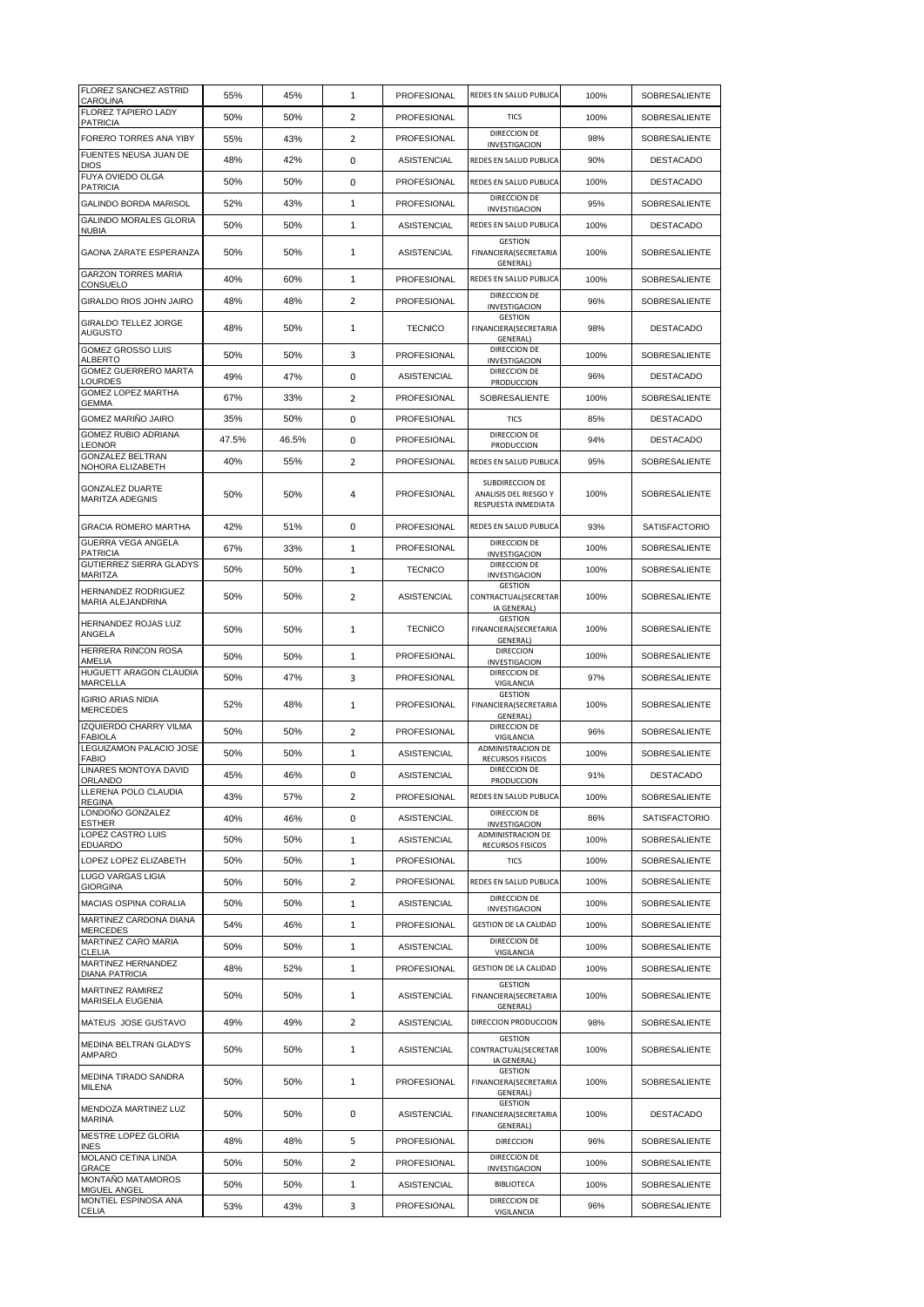| <b>FLOREZ SANCHEZ ASTRID</b><br>CAROLINA         | 55%   | 45%   | $\mathbf{1}$   | PROFESIONAL        | REDES EN SALUD PUBLICA                                                 | 100% | SOBRESALIENTE        |
|--------------------------------------------------|-------|-------|----------------|--------------------|------------------------------------------------------------------------|------|----------------------|
| FLOREZ TAPIERO LADY<br><b>PATRICIA</b>           | 50%   | 50%   | 2              | PROFESIONAL        | <b>TICS</b>                                                            | 100% | SOBRESALIENTE        |
| FORERO TORRES ANA YIBY                           | 55%   | 43%   | $\overline{2}$ | PROFESIONAL        | DIRECCION DE<br>INVESTIGACION                                          | 98%  | SOBRESALIENTE        |
| FUENTES NEUSA JUAN DE<br><b>DIOS</b>             | 48%   | 42%   | 0              | <b>ASISTENCIAL</b> | REDES EN SALUD PUBLICA                                                 | 90%  | <b>DESTACADO</b>     |
| <b>FUYA OVIEDO OLGA</b><br><b>PATRICIA</b>       | 50%   | 50%   | 0              | PROFESIONAL        | REDES EN SALUD PUBLICA                                                 | 100% | <b>DESTACADO</b>     |
| GALINDO BORDA MARISOL                            | 52%   | 43%   | 1              | PROFESIONAL        | DIRECCION DE<br>INVESTIGACION                                          | 95%  | SOBRESALIENTE        |
| <b>GALINDO MORALES GLORIA</b><br><b>NUBIA</b>    | 50%   | 50%   | $\mathbf{1}$   | <b>ASISTENCIAL</b> | REDES EN SALUD PUBLICA                                                 | 100% | <b>DESTACADO</b>     |
| GAONA ZARATE ESPERANZA                           | 50%   | 50%   | 1              | <b>ASISTENCIAL</b> | <b>GESTION</b><br>FINANCIERA(SECRETARIA<br>GENERAL)                    | 100% | SOBRESALIENTE        |
| <b>GARZON TORRES MARIA</b><br>CONSUELO           | 40%   | 60%   | $\mathbf{1}$   | PROFESIONAL        | REDES EN SALUD PUBLICA                                                 | 100% | <b>SOBRESALIENTE</b> |
| GIRALDO RIOS JOHN JAIRO                          | 48%   | 48%   | $\overline{2}$ | PROFESIONAL        | DIRECCION DE<br>INVESTIGACION                                          | 96%  | SOBRESALIENTE        |
| <b>GIRALDO TELLEZ JORGE</b><br><b>AUGUSTO</b>    | 48%   | 50%   | 1              | <b>TECNICO</b>     | GESTION<br>FINANCIERA(SECRETARIA<br>GENERAL)                           | 98%  | <b>DESTACADO</b>     |
| GOMEZ GROSSO LUIS<br><b>ALBERTO</b>              | 50%   | 50%   | 3              | PROFESIONAL        | DIRECCION DE<br>INVESTIGACION                                          | 100% | SOBRESALIENTE        |
| GOMEZ GUERRERO MARTA<br>LOURDES                  | 49%   | 47%   | 0              | <b>ASISTENCIAL</b> | DIRECCION DE<br>PRODUCCION                                             | 96%  | <b>DESTACADO</b>     |
| GOMEZ LOPEZ MARTHA<br><b>GEMMA</b>               | 67%   | 33%   | $\overline{2}$ | PROFESIONAL        | SOBRESALIENTE                                                          | 100% | SOBRESALIENTE        |
| GOMEZ MARIÑO JAIRO                               | 35%   | 50%   | 0              | PROFESIONAL        | <b>TICS</b>                                                            | 85%  | <b>DESTACADO</b>     |
| <b>GOMEZ RUBIO ADRIANA</b><br><b>LEONOR</b>      | 47.5% | 46.5% | 0              | PROFESIONAL        | DIRECCION DE<br>PRODUCCION                                             | 94%  | <b>DESTACADO</b>     |
| <b>GONZALEZ BELTRAN</b><br>NOHORA ELIZABETH      | 40%   | 55%   | $\overline{2}$ | PROFESIONAL        | REDES EN SALUD PUBLICA                                                 | 95%  | SOBRESALIENTE        |
| <b>GONZALEZ DUARTE</b><br>MARITZA ADEGNIS        | 50%   | 50%   | 4              | PROFESIONAL        | SUBDIRECCION DE<br>ANALISIS DEL RIESGO Y<br><b>RESPUESTA INMEDIATA</b> | 100% | SOBRESALIENTE        |
| <b>GRACIA ROMERO MARTHA</b>                      | 42%   | 51%   | 0              | PROFESIONAL        | REDES EN SALUD PUBLICA                                                 | 93%  | <b>SATISFACTORIO</b> |
| GUERRA VEGA ANGELA<br><b>PATRICIA</b>            | 67%   | 33%   | 1              | PROFESIONAL        | DIRECCION DE<br>INVESTIGACION                                          | 100% | SOBRESALIENTE        |
| GUTIERREZ SIERRA GLADYS<br>MARITZA               | 50%   | 50%   | $\mathbf{1}$   | <b>TECNICO</b>     | DIRECCION DE<br>INVESTIGACION                                          | 100% | SOBRESALIENTE        |
| HERNANDEZ RODRIGUEZ<br>MARIA ALEJANDRINA         | 50%   | 50%   | 2              | ASISTENCIAL        | <b>GESTION</b><br>CONTRACTUAL(SECRETAR<br>IA GENERAL)                  | 100% | SOBRESALIENTE        |
| HERNANDEZ ROJAS LUZ<br>ANGELA                    | 50%   | 50%   | 1              | <b>TECNICO</b>     | GESTION<br>FINANCIERA(SECRETARIA<br>GENERAL)                           | 100% | SOBRESALIENTE        |
| HERRERA RINCON ROSA<br>AMELIA                    | 50%   | 50%   | $\mathbf{1}$   | PROFESIONAL        | <b>DIRECCION</b><br>INVESTIGACION                                      | 100% | SOBRESALIENTE        |
| <b>HUGUETT ARAGON CLAUDIA</b><br><b>MARCELLA</b> | 50%   | 47%   | 3              | PROFESIONAL        | DIRECCION DE<br>VIGILANCIA                                             | 97%  | SOBRESALIENTE        |
| <b>IGIRIO ARIAS NIDIA</b><br><b>MERCEDES</b>     | 52%   | 48%   | 1              | <b>PROFESIONAL</b> | <b>GESTION</b><br>FINANCIERA(SECRETARIA<br>GENERAL)                    | 100% | SOBRESALIENTE        |
| IZQUIERDO CHARRY VILMA<br><b>FABIOLA</b>         | 50%   | 50%   | 2              | PROFESIONAL        | DIRECCION DE<br>VIGILANCIA                                             | 96%  | SOBRESALIENTE        |
| LEGUIZAMON PALACIO JOSE<br><b>FABIO</b>          | 50%   | 50%   | 1              | <b>ASISTENCIAL</b> | ADMINISTRACION DE<br>RECURSOS FISICOS                                  | 100% | SOBRESALIENTE        |
| LINARES MONTOYA DAVID<br>ORLANDO                 | 45%   | 46%   | 0              | <b>ASISTENCIAL</b> | DIRECCION DE<br>PRODUCCION                                             | 91%  | <b>DESTACADO</b>     |
| LLERENA POLO CLAUDIA<br><b>REGINA</b>            | 43%   | 57%   | 2              | PROFESIONAL        | REDES EN SALUD PUBLICA                                                 | 100% | SOBRESALIENTE        |
| LONDOÑO GONZALEZ<br><b>ESTHER</b>                | 40%   | 46%   | 0              | ASISTENCIAL        | DIRECCION DE<br>INVESTIGACION                                          | 86%  | <b>SATISFACTORIO</b> |
| LOPEZ CASTRO LUIS<br><b>EDUARDO</b>              | 50%   | 50%   | $\mathbf{1}$   | <b>ASISTENCIAL</b> | ADMINISTRACION DE<br>RECURSOS FISICOS                                  | 100% | <b>SOBRESALIENTE</b> |
| LOPEZ LOPEZ ELIZABETH                            | 50%   | 50%   | $\mathbf{1}$   | PROFESIONAL        | <b>TICS</b>                                                            | 100% | <b>SOBRESALIENTE</b> |
| <b>LUGO VARGAS LIGIA</b><br><b>GIORGINA</b>      | 50%   | 50%   | $\overline{2}$ | PROFESIONAL        | REDES EN SALUD PUBLICA                                                 | 100% | SOBRESALIENTE        |
| MACIAS OSPINA CORALIA                            | 50%   | 50%   | 1              | ASISTENCIAL        | DIRECCION DE<br><b>INVESTIGACION</b>                                   | 100% | <b>SOBRESALIENTE</b> |
| MARTINEZ CARDONA DIANA<br><b>MERCEDES</b>        | 54%   | 46%   | 1              | PROFESIONAL        | <b>GESTION DE LA CALIDAD</b>                                           | 100% | SOBRESALIENTE        |
| MARTINEZ CARO MARIA<br><b>CLELIA</b>             | 50%   | 50%   | 1              | <b>ASISTENCIAL</b> | DIRECCION DE<br>VIGILANCIA                                             | 100% | <b>SOBRESALIENTE</b> |
| MARTINEZ HERNANDEZ<br><b>DIANA PATRICIA</b>      | 48%   | 52%   | 1              | PROFESIONAL        | <b>GESTION DE LA CALIDAD</b>                                           | 100% | SOBRESALIENTE        |
| MARTINEZ RAMIREZ<br>MARISELA EUGENIA             | 50%   | 50%   | 1              | ASISTENCIAL        | <b>GESTION</b><br>FINANCIERA(SECRETARIA<br>GENERAL)                    | 100% | SOBRESALIENTE        |
| MATEUS JOSE GUSTAVO                              | 49%   | 49%   | $\overline{2}$ | ASISTENCIAL        | DIRECCION PRODUCCION                                                   | 98%  | SOBRESALIENTE        |
| MEDINA BELTRAN GLADYS<br>AMPARO                  | 50%   | 50%   | 1              | <b>ASISTENCIAL</b> | <b>GESTION</b><br>CONTRACTUAL(SECRETAR<br>IA GENERAL                   | 100% | SOBRESALIENTE        |
| MEDINA TIRADO SANDRA<br><b>MILENA</b>            | 50%   | 50%   | 1              | PROFESIONAL        | <b>GESTION</b><br>FINANCIERA(SECRETARIA<br>GENERAL)                    | 100% | SOBRESALIENTE        |
| MENDOZA MARTINEZ LUZ<br><b>MARINA</b>            | 50%   | 50%   | 0              | ASISTENCIAL        | <b>GESTION</b><br>FINANCIERA(SECRETARIA<br>GENERAL)                    | 100% | DESTACADO            |
| MESTRE LOPEZ GLORIA<br><b>INES</b>               | 48%   | 48%   | 5              | PROFESIONAL        | <b>DIRECCION</b>                                                       | 96%  | SOBRESALIENTE        |
| MOLANO CETINA LINDA<br>GRACE                     | 50%   | 50%   | $\overline{2}$ | PROFESIONAL        | DIRECCION DE<br>INVESTIGACION                                          | 100% | SOBRESALIENTE        |
| MONTAÑO MATAMOROS<br><b>MIGUEL ANGEL</b>         | 50%   | 50%   | $\mathbf{1}$   | ASISTENCIAL        | <b>BIBLIOTECA</b>                                                      | 100% | SOBRESALIENTE        |
| MONTIEL ESPINOSA ANA<br><b>CELIA</b>             | 53%   | 43%   | 3              | PROFESIONAL        | DIRECCION DE<br>VIGILANCIA                                             | 96%  | SOBRESALIENTE        |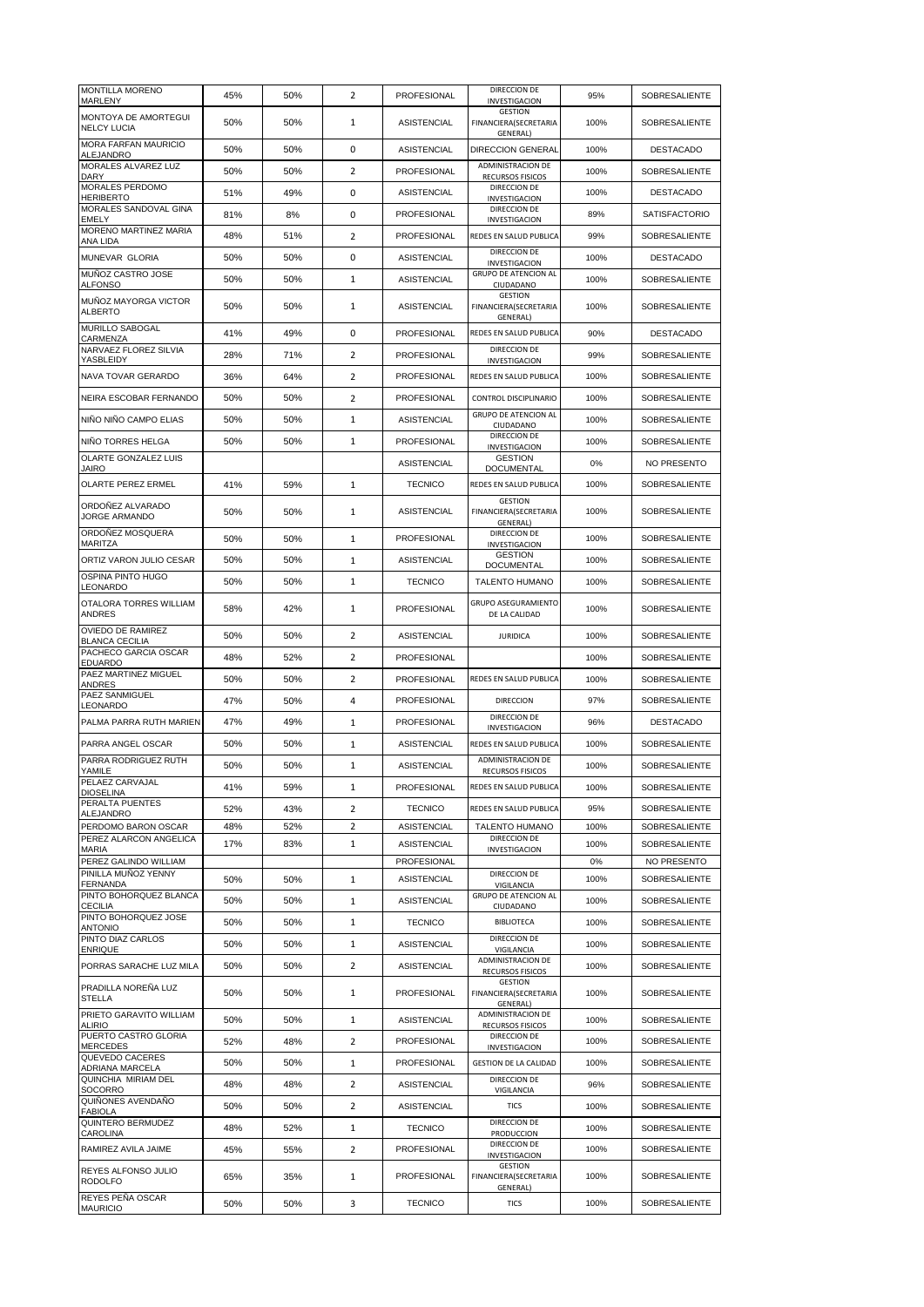| <b>MONTILLA MORENO</b><br>MARLENY                                   | 45%        | 50%        | 2                       | PROFESIONAL        | DIRECCION DE<br>INVESTIGACION                       | 95%  | SOBRESALIENTE        |
|---------------------------------------------------------------------|------------|------------|-------------------------|--------------------|-----------------------------------------------------|------|----------------------|
| MONTOYA DE AMORTEGUI<br><b>NELCY LUCIA</b>                          | 50%        | 50%        | 1                       | <b>ASISTENCIAL</b> | <b>GESTION</b><br>FINANCIERA(SECRETARIA<br>GENERAL) | 100% | SOBRESALIENTE        |
| <b>MORA FARFAN MAURICIO</b><br>ALEJANDRO                            | 50%        | 50%        | 0                       | <b>ASISTENCIAL</b> | <b>DIRECCION GENERAL</b>                            | 100% | <b>DESTACADO</b>     |
| MORALES ALVAREZ LUZ<br><b>DARY</b>                                  | 50%        | 50%        | $\overline{2}$          | PROFESIONAL        | ADMINISTRACION DE<br>RECURSOS FISICOS               | 100% | SOBRESALIENTE        |
| <b>MORALES PERDOMO</b><br><b>HERIBERTO</b>                          | 51%        | 49%        | 0                       | <b>ASISTENCIAL</b> | DIRECCION DE<br>INVESTIGACION                       | 100% | <b>DESTACADO</b>     |
| MORALES SANDOVAL GINA<br>EMELY                                      | 81%        | 8%         | 0                       | PROFESIONAL        | DIRECCION DE<br>INVESTIGACION                       | 89%  | <b>SATISFACTORIO</b> |
| MORENO MARTINEZ MARIA<br><b>ANA LIDA</b>                            | 48%        | 51%        | $\overline{2}$          | PROFESIONAL        | REDES EN SALUD PUBLICA                              | 99%  | SOBRESALIENTE        |
| MUNEVAR GLORIA                                                      | 50%        | 50%        | 0                       | <b>ASISTENCIAL</b> | DIRECCION DE<br>INVESTIGACION                       | 100% | <b>DESTACADO</b>     |
| MUÑOZ CASTRO JOSE<br><b>ALFONSO</b>                                 | 50%        | 50%        | $\mathbf{1}$            | <b>ASISTENCIAL</b> | <b>GRUPO DE ATENCION AL</b><br>CIUDADANO            | 100% | <b>SOBRESALIENTE</b> |
| MUÑOZ MAYORGA VICTOR<br><b>ALBERTO</b>                              | 50%        | 50%        | 1                       | <b>ASISTENCIAL</b> | <b>GESTION</b><br>FINANCIERA(SECRETARIA<br>GENERAL) | 100% | SOBRESALIENTE        |
| <b>MURILLO SABOGAL</b><br>CARMENZA                                  | 41%        | 49%        | 0                       | PROFESIONAL        | REDES EN SALUD PUBLICA                              | 90%  | <b>DESTACADO</b>     |
| NARVAEZ FLOREZ SILVIA<br>YASBLEIDY                                  | 28%        | 71%        | 2                       | PROFESIONAL        | DIRECCION DE<br>INVESTIGACION                       | 99%  | SOBRESALIENTE        |
| NAVA TOVAR GERARDO                                                  | 36%        | 64%        | 2                       | PROFESIONAL        | REDES EN SALUD PUBLICA                              | 100% | SOBRESALIENTE        |
| NEIRA ESCOBAR FERNANDO                                              | 50%        | 50%        | $\overline{2}$          | PROFESIONAL        | CONTROL DISCIPLINARIO                               | 100% | SOBRESALIENTE        |
| NIÑO NIÑO CAMPO ELIAS                                               | 50%        | 50%        | 1                       | ASISTENCIAL        | <b>GRUPO DE ATENCION AL</b>                         | 100% | SOBRESALIENTE        |
| NIÑO TORRES HELGA                                                   | 50%        | 50%        | 1                       | PROFESIONAL        | CIUDADANO<br>DIRECCION DE                           | 100% | <b>SOBRESALIENTE</b> |
| OLARTE GONZALEZ LUIS                                                |            |            |                         | <b>ASISTENCIAL</b> | <b>INVESTIGACION</b><br><b>GESTION</b>              | 0%   | NO PRESENTO          |
| <b>JAIRO</b><br>OLARTE PEREZ ERMEL                                  | 41%        | 59%        | 1                       | <b>TECNICO</b>     | <b>DOCUMENTAL</b><br>REDES EN SALUD PUBLICA         | 100% | SOBRESALIENTE        |
| ORDOÑEZ ALVARADO                                                    |            |            |                         |                    | <b>GESTION</b>                                      |      |                      |
| <b>JORGE ARMANDO</b><br>ORDOÑEZ MOSQUERA                            | 50%<br>50% | 50%<br>50% | $\mathbf{1}$<br>1       | <b>ASISTENCIAL</b> | FINANCIERA(SECRETARIA<br>GENERAL)<br>DIRECCION DE   | 100% | SOBRESALIENTE        |
| MARITZA                                                             |            |            |                         | PROFESIONAL        | INVESTIGACION<br><b>GESTION</b>                     | 100% | SOBRESALIENTE        |
| ORTIZ VARON JULIO CESAR<br>OSPINA PINTO HUGO                        | 50%        | 50%        | $\mathbf{1}$            | <b>ASISTENCIAL</b> | <b>DOCUMENTAL</b>                                   | 100% | SOBRESALIENTE        |
| LEONARDO                                                            | 50%        | 50%        | 1                       | <b>TECNICO</b>     | <b>TALENTO HUMANO</b>                               | 100% | SOBRESALIENTE        |
| OTALORA TORRES WILLIAM<br><b>ANDRES</b><br><b>OVIEDO DE RAMIREZ</b> | 58%        | 42%        | 1                       | PROFESIONAL        | <b>GRUPO ASEGURAMIENTO</b><br>DE LA CALIDAD         | 100% | SOBRESALIENTE        |
| <b>BLANCA CECILIA</b>                                               | 50%        | 50%        | 2                       | <b>ASISTENCIAL</b> | <b>JURIDICA</b>                                     | 100% | SOBRESALIENTE        |
| PACHECO GARCIA OSCAR<br><b>EDUARDO</b>                              | 48%        | 52%        | 2                       | PROFESIONAL        |                                                     | 100% | SOBRESALIENTE        |
| PAEZ MARTINEZ MIGUEL<br>ANDRES                                      | 50%        | 50%        | 2                       | PROFESIONAL        | REDES EN SALUD PUBLICA                              | 100% | SOBRESALIENTE        |
| <b>PAEZ SANMIGUEL</b><br>LEONARDO                                   | 47%        | 50%        | 4                       | PROFESIONAL        | <b>DIRECCION</b>                                    | 97%  | <b>SOBRESALIENTE</b> |
| PALMA PARRA RUTH MARIEN                                             | 47%        | 49%        | 1                       | <b>PROFESIONAL</b> | DIRECCION DE<br>INVESTIGACION                       | 96%  | <b>DESTACADO</b>     |
| PARRA ANGEL OSCAR                                                   | 50%        | 50%        | 1                       | <b>ASISTENCIAL</b> | REDES EN SALUD PUBLICA                              | 100% | SOBRESALIENTE        |
| PARRA RODRIGUEZ RUTH<br>YAMILE                                      | 50%        | 50%        | 1                       | <b>ASISTENCIAL</b> | <b>ADMINISTRACION DE</b><br>RECURSOS FISICOS        | 100% | SOBRESALIENTE        |
| PELAEZ CARVAJAL<br><b>DIOSELINA</b>                                 | 41%        | 59%        | 1                       | PROFESIONAL        | REDES EN SALUD PUBLICA                              | 100% | SOBRESALIENTE        |
| PERALTA PUENTES<br><b>ALEJANDRO</b>                                 | 52%        | 43%        | 2                       | <b>TECNICO</b>     | REDES EN SALUD PUBLICA                              | 95%  | SOBRESALIENTE        |
| PERDOMO BARON OSCAR                                                 | 48%        | 52%        | $\overline{\mathbf{c}}$ | <b>ASISTENCIAL</b> | TALENTO HUMANO                                      | 100% | SOBRESALIENTE        |
| PEREZ ALARCON ANGELICA<br><b>MARIA</b>                              | 17%        | 83%        | 1                       | <b>ASISTENCIAL</b> | DIRECCION DE<br><b>INVESTIGACION</b>                | 100% | SOBRESALIENTE        |
| PEREZ GALINDO WILLIAM<br>PINILLA MUÑOZ YENNY                        |            |            |                         | PROFESIONAL        | DIRECCION DE                                        | 0%   | NO PRESENTO          |
| <b>FERNANDA</b><br>PINTO BOHORQUEZ BLANCA                           | 50%        | 50%        | 1                       | <b>ASISTENCIAL</b> | VIGILANCIA<br><b>GRUPO DE ATENCION AL</b>           | 100% | <b>SOBRESALIENTE</b> |
| <b>CECILIA</b><br>PINTO BOHORQUEZ JOSE                              | 50%        | 50%        | $\mathbf{1}$            | <b>ASISTENCIAL</b> | CIUDADANO                                           | 100% | SOBRESALIENTE        |
| <b>ANTONIO</b><br>PINTO DIAZ CARLOS                                 | 50%        | 50%        | 1                       | <b>TECNICO</b>     | <b>BIBLIOTECA</b><br>DIRECCION DE                   | 100% | SOBRESALIENTE        |
| <b>ENRIQUE</b>                                                      | 50%        | 50%        | 1                       | ASISTENCIAL        | VIGILANCIA<br><b>ADMINISTRACION DE</b>              | 100% | SOBRESALIENTE        |
| PORRAS SARACHE LUZ MILA                                             | 50%        | 50%        | $\overline{2}$          | <b>ASISTENCIAL</b> | RECURSOS FISICOS                                    | 100% | SOBRESALIENTE        |
| PRADILLA NOREÑA LUZ<br><b>STELLA</b>                                | 50%        | 50%        | 1                       | PROFESIONAL        | GESTION<br>FINANCIERA(SECRETARIA<br><b>GENERAL)</b> | 100% | SOBRESALIENTE        |
| PRIETO GARAVITO WILLIAM<br><b>ALIRIO</b>                            | 50%        | 50%        | 1                       | <b>ASISTENCIAL</b> | ADMINISTRACION DE<br>RECURSOS FISICOS               | 100% | SOBRESALIENTE        |
| PUERTO CASTRO GLORIA<br>MERCEDES                                    | 52%        | 48%        | 2                       | PROFESIONAL        | DIRECCION DE<br>INVESTIGACION                       | 100% | SOBRESALIENTE        |
| QUEVEDO CACERES<br>ADRIANA MARCELA                                  | 50%        | 50%        | 1                       | <b>PROFESIONAL</b> | <b>GESTION DE LA CALIDAD</b>                        | 100% | SOBRESALIENTE        |
| QUINCHIA MIRIAM DEL<br>SOCORRO                                      | 48%        | 48%        | 2                       | ASISTENCIAL        | DIRECCION DE<br>VIGILANCIA                          | 96%  | SOBRESALIENTE        |
| QUIÑONES AVENDAÑO<br><b>FABIOLA</b>                                 | 50%        | 50%        | 2                       | ASISTENCIAL        | <b>TICS</b>                                         | 100% | SOBRESALIENTE        |
| QUINTERO BERMUDEZ<br>CAROLINA                                       | 48%        | 52%        | 1                       | <b>TECNICO</b>     | DIRECCION DE<br>PRODUCCION                          | 100% | SOBRESALIENTE        |
| RAMIREZ AVILA JAIME                                                 | 45%        | 55%        | $\overline{2}$          | PROFESIONAL        | DIRECCION DE<br>INVESTIGACION                       | 100% | SOBRESALIENTE        |
| REYES ALFONSO JULIO<br><b>RODOLFO</b>                               | 65%        | 35%        | 1                       | PROFESIONAL        | <b>GESTION</b><br>FINANCIERA(SECRETARIA<br>GENERAL) | 100% | SOBRESALIENTE        |
| <b>REYES PENA OSCAR</b><br><b>MAURICIO</b>                          | 50%        | 50%        | 3                       | <b>TECNICO</b>     | <b>TICS</b>                                         | 100% | SOBRESALIENTE        |